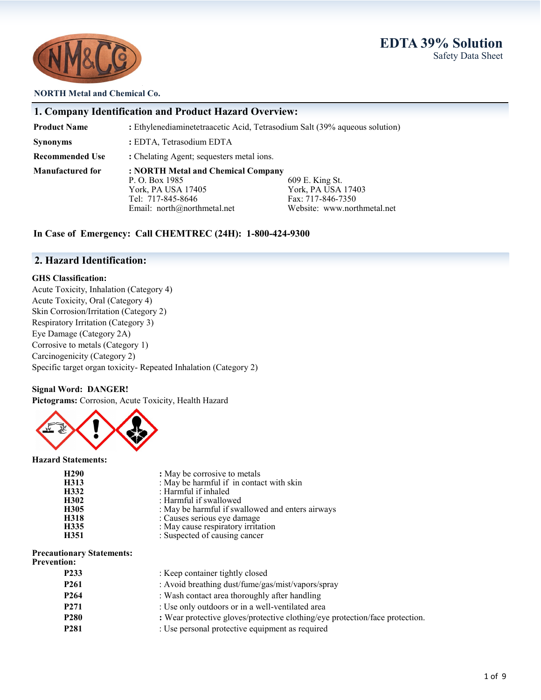# **EDTA 39% Solution** Safety Data Sheet



#### **NORTH Metal and Chemical Co.**

|                         | 1. Company Identification and Product Hazard Overview:                     |                             |  |
|-------------------------|----------------------------------------------------------------------------|-----------------------------|--|
| <b>Product Name</b>     | : Ethylenediaminetetraacetic Acid, Tetrasodium Salt (39% aqueous solution) |                             |  |
| <b>Synonyms</b>         | : EDTA, Tetrasodium EDTA                                                   |                             |  |
| <b>Recommended Use</b>  | : Chelating Agent; sequesters metal ions.                                  |                             |  |
| <b>Manufactured for</b> | : NORTH Metal and Chemical Company                                         |                             |  |
|                         | P. O. Box 1985                                                             | 609 E. King St.             |  |
|                         | York, PA USA 17405                                                         | York, PA USA 17403          |  |
|                         | Tel: 717-845-8646                                                          | Fax: 717-846-7350           |  |
|                         | Email: north@northmetal.net                                                | Website: www.northmetal.net |  |

## **In Case of Emergency: Call CHEMTREC (24H): 1-800-424-9300**

# **2. Hazard Identification:**

## **GHS Classification:**

Acute Toxicity, Inhalation (Category 4) Acute Toxicity, Oral (Category 4) Skin Corrosion/Irritation (Category 2) Respiratory Irritation (Category 3) Eye Damage (Category 2A) Corrosive to metals (Category 1) Carcinogenicity (Category 2) Specific target organ toxicity- Repeated Inhalation (Category 2)

### **Signal Word: DANGER!**

**Pictograms:** Corrosion, Acute Toxicity, Health Hazard



#### **Hazard Statements:**

| H <sub>290</sub> | : May be corrosive to metals                     |
|------------------|--------------------------------------------------|
| H313             | : May be harmful if in contact with skin         |
| H332             | : Harmful if inhaled                             |
| H302             | : Harmful if swallowed                           |
| H305             | : May be harmful if swallowed and enters airways |
| H318             | : Causes serious eye damage                      |
| H335             | : May cause respiratory irritation               |
| H351             | : Suspected of causing cancer                    |

#### **Precautionary Statements:**

| <b>Precautionary Statements:</b><br><b>Prevention:</b> |                                                                              |
|--------------------------------------------------------|------------------------------------------------------------------------------|
| P <sub>2</sub> 33                                      | : Keep container tightly closed                                              |
| P <sub>261</sub>                                       | : Avoid breathing dust/fume/gas/mist/vapors/spray                            |
| P <sub>264</sub>                                       | : Wash contact area thoroughly after handling                                |
| P <sub>271</sub>                                       | : Use only outdoors or in a well-ventilated area                             |
| <b>P280</b>                                            | : Wear protective gloves/protective clothing/eye protection/face protection. |
| <b>P281</b>                                            | : Use personal protective equipment as required                              |
|                                                        |                                                                              |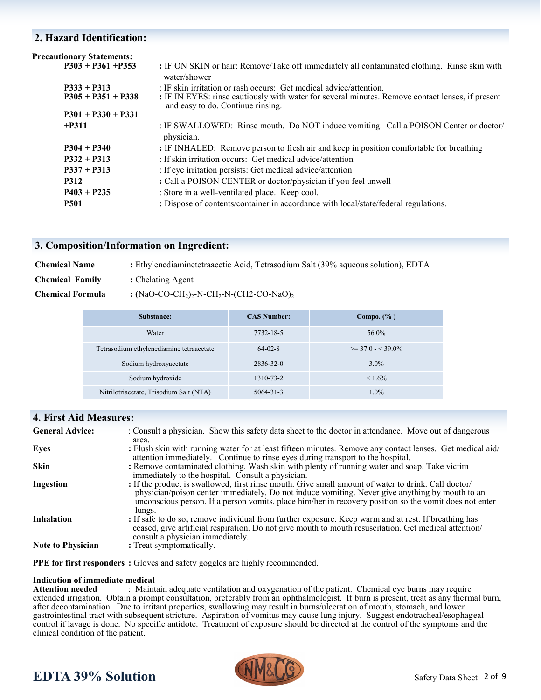## **2. Hazard Identification:**

| <b>Precautionary Statements:</b> |                                                                                                                                       |
|----------------------------------|---------------------------------------------------------------------------------------------------------------------------------------|
| $P303 + P361 + P353$             | : IF ON SKIN or hair: Remove/Take off immediately all contaminated clothing. Rinse skin with<br>water/shower                          |
| $P333 + P313$                    | : IF skin irritation or rash occurs: Get medical advice/attention.                                                                    |
| $P305 + P351 + P338$             | : IF IN EYES: rinse cautiously with water for several minutes. Remove contact lenses, if present<br>and easy to do. Continue rinsing. |
| $P301 + P330 + P331$             |                                                                                                                                       |
| $+P311$                          | : IF SWALLOWED: Rinse mouth. Do NOT induce vomiting. Call a POISON Center or doctor/<br>physician.                                    |
| $P304 + P340$                    | : IF INHALED: Remove person to fresh air and keep in position comfortable for breathing                                               |
| $P332 + P313$                    | : If skin irritation occurs: Get medical advice/attention                                                                             |
| $P337 + P313$                    | : If eye irritation persists: Get medical advice/attention                                                                            |
| <b>P312</b>                      | : Call a POISON CENTER or doctor/physician if you feel unwell                                                                         |
| $P403 + P235$                    | : Store in a well-ventilated place. Keep cool.                                                                                        |
| <b>P501</b>                      | : Dispose of contents/container in accordance with local/state/federal regulations.                                                   |

### **3. Composition/Information on Ingredient:**

| <b>Chemical Name</b>   | : Ethylenediaminetetraacetic Acid, Tetrasodium Salt (39% aqueous solution), EDTA         |
|------------------------|------------------------------------------------------------------------------------------|
| <b>Chemical Family</b> | : Chelating Agent                                                                        |
| Chemical Formula       | : (NaO-CO-CH <sub>2</sub> ) <sub>2</sub> -N-CH <sub>2</sub> -N-(CH2-CO-NaO) <sub>2</sub> |

| Substance:                               | <b>CAS Number:</b> | Compo. $(\% )$        |
|------------------------------------------|--------------------|-----------------------|
| Water                                    | 7732-18-5          | 56.0%                 |
| Tetrasodium ethylenediamine tetraacetate | $64-02-8$          | $\geq$ 37.0 - < 39.0% |
| Sodium hydroxyacetate                    | 2836-32-0          | $3.0\%$               |
| Sodium hydroxide                         | 1310-73-2          | $< 1.6\%$             |
| Nitrilotriacetate, Trisodium Salt (NTA)  | $5064 - 31 - 3$    | $1.0\%$               |

# **4. First Aid Measures:**

| <b>General Advice:</b>   | : Consult a physician. Show this safety data sheet to the doctor in attendance. Move out of dangerous<br>area.                                                                                                                                                                                                             |
|--------------------------|----------------------------------------------------------------------------------------------------------------------------------------------------------------------------------------------------------------------------------------------------------------------------------------------------------------------------|
| Eyes                     | : Flush skin with running water for at least fifteen minutes. Remove any contact lenses. Get medical aid/<br>attention immediately. Continue to rinse eyes during transport to the hospital.                                                                                                                               |
| <b>Skin</b>              | : Remove contaminated clothing. Wash skin with plenty of running water and soap. Take victim<br>immediately to the hospital. Consult a physician.                                                                                                                                                                          |
| Ingestion                | : If the product is swallowed, first rinse mouth. Give small amount of water to drink. Call doctor/<br>physician/poison center immediately. Do not induce vomiting. Never give anything by mouth to an<br>unconscious person. If a person vomits, place him/her in recovery position so the vomit does not enter<br>lungs. |
| <b>Inhalation</b>        | : If safe to do so, remove individual from further exposure. Keep warm and at rest. If breathing has<br>ceased, give artificial respiration. Do not give mouth to mouth resuscitation. Get medical attention/<br>consult a physician immediately.                                                                          |
| <b>Note to Physician</b> | : Treat symptomatically.                                                                                                                                                                                                                                                                                                   |

**PPE for first responders :** Gloves and safety goggles are highly recommended.

# **Indication of immediate medical**

: Maintain adequate ventilation and oxygenation of the patient. Chemical eye burns may require extended irrigation. Obtain a prompt consultation, preferably from an ophthalmologist. If burn is present, treat as any thermal burn, after decontamination. Due to irritant properties, swallowing may result in burns/ulceration of mouth, stomach, and lower gastrointestinal tract with subsequent stricture. Aspiration of vomitus may cause lung injury. Suggest endotracheal/esophageal control if lavage is done. No specific antidote. Treatment of exposure should be directed at the control of the symptoms and the clinical condition of the patient.



# **EDTA 39% Solution**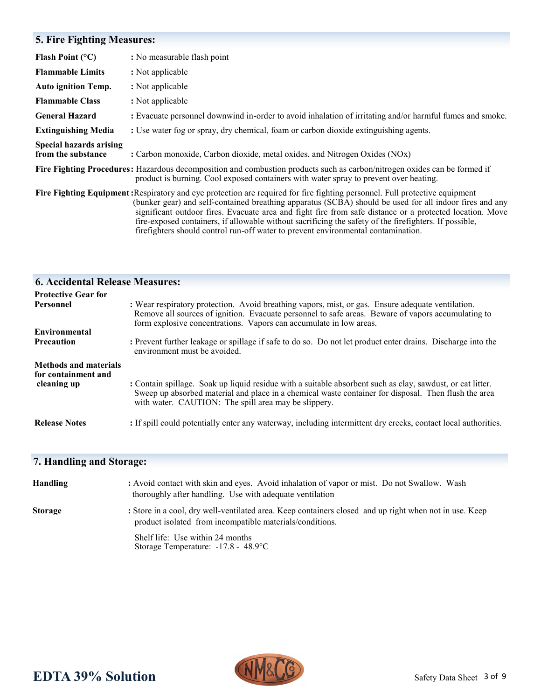# **5. Fire Fighting Measures:**

| Flash Point $(°C)$                                   | : No measurable flash point                                                                                                                                                                                                                                                                                                                                                                                                                                                                                                                       |
|------------------------------------------------------|---------------------------------------------------------------------------------------------------------------------------------------------------------------------------------------------------------------------------------------------------------------------------------------------------------------------------------------------------------------------------------------------------------------------------------------------------------------------------------------------------------------------------------------------------|
| <b>Flammable Limits</b>                              | : Not applicable                                                                                                                                                                                                                                                                                                                                                                                                                                                                                                                                  |
| <b>Auto ignition Temp.</b>                           | : Not applicable                                                                                                                                                                                                                                                                                                                                                                                                                                                                                                                                  |
| <b>Flammable Class</b>                               | : Not applicable                                                                                                                                                                                                                                                                                                                                                                                                                                                                                                                                  |
| <b>General Hazard</b>                                | : Evacuate personnel downwind in-order to avoid inhalation of irritating and/or harmful fumes and smoke.                                                                                                                                                                                                                                                                                                                                                                                                                                          |
| <b>Extinguishing Media</b>                           | : Use water fog or spray, dry chemical, foam or carbon dioxide extinguishing agents.                                                                                                                                                                                                                                                                                                                                                                                                                                                              |
| <b>Special hazards arising</b><br>from the substance | : Carbon monoxide, Carbon dioxide, metal oxides, and Nitrogen Oxides (NOx)                                                                                                                                                                                                                                                                                                                                                                                                                                                                        |
|                                                      | Fire Fighting Procedures: Hazardous decomposition and combustion products such as carbon/nitrogen oxides can be formed if<br>product is burning. Cool exposed containers with water spray to prevent over heating.                                                                                                                                                                                                                                                                                                                                |
|                                                      | Fire Fighting Equipment: Respiratory and eye protection are required for fire fighting personnel. Full protective equipment<br>(bunker gear) and self-contained breathing apparatus (SCBA) should be used for all indoor fires and any<br>significant outdoor fires. Evacuate area and fight fire from safe distance or a protected location. Move<br>fire-exposed containers, if allowable without sacrificing the safety of the firefighters. If possible,<br>firefighters should control run-off water to prevent environmental contamination. |

| <b>6. Accidental Release Measures:</b>                             |                                                                                                                                                                                                                                                                               |
|--------------------------------------------------------------------|-------------------------------------------------------------------------------------------------------------------------------------------------------------------------------------------------------------------------------------------------------------------------------|
| <b>Protective Gear for</b>                                         |                                                                                                                                                                                                                                                                               |
| <b>Personnel</b>                                                   | : Wear respiratory protection. Avoid breathing vapors, mist, or gas. Ensure adequate ventilation.<br>Remove all sources of ignition. Evacuate personnel to safe areas. Beware of vapors accumulating to<br>form explosive concentrations. Vapors can accumulate in low areas. |
| Environmental                                                      |                                                                                                                                                                                                                                                                               |
| <b>Precaution</b>                                                  | : Prevent further leakage or spillage if safe to do so. Do not let product enter drains. Discharge into the<br>environment must be avoided.                                                                                                                                   |
| <b>Methods and materials</b><br>for containment and<br>cleaning up | : Contain spillage. Soak up liquid residue with a suitable absorbent such as clay, sawdust, or cat litter.<br>Sweep up absorbed material and place in a chemical waste container for disposal. Then flush the area<br>with water. CAUTION: The spill area may be slippery.    |
| <b>Release Notes</b>                                               | : If spill could potentially enter any waterway, including intermittent dry creeks, contact local authorities.                                                                                                                                                                |

# **7. Handling and Storage:**

| <b>Handling</b> | : Avoid contact with skin and eyes. Avoid inhalation of vapor or mist. Do not Swallow. Wash<br>thoroughly after handling. Use with adequate ventilation            |
|-----------------|--------------------------------------------------------------------------------------------------------------------------------------------------------------------|
| <b>Storage</b>  | : Store in a cool, dry well-ventilated area. Keep containers closed and up right when not in use. Keep<br>product isolated from incompatible materials/conditions. |
|                 | Shelf life: Use within 24 months<br>Storage Temperature: $-17.8 - 48.9$ °C                                                                                         |



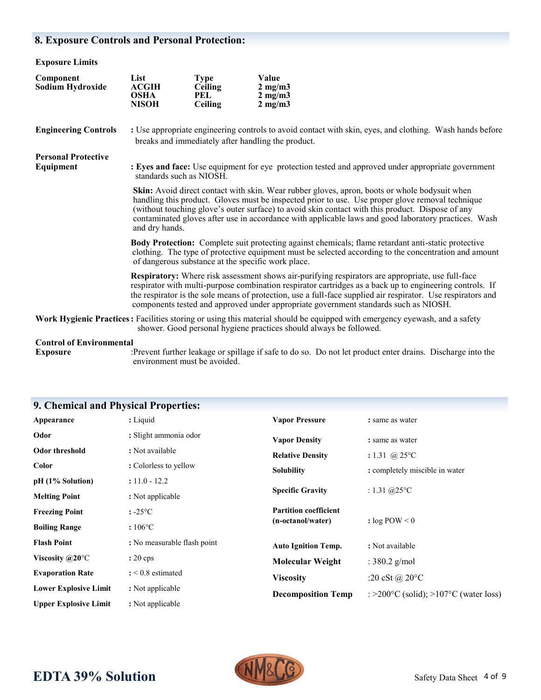# **8. Exposure Controls and Personal Protection:**

| <b>Exposure Limits</b>                  |                                                                                                                                                                                                                                                                                                                                                                                                                                 |                                                        |                                                                                                                                                                                                                                                                                                                                                                                                                       |
|-----------------------------------------|---------------------------------------------------------------------------------------------------------------------------------------------------------------------------------------------------------------------------------------------------------------------------------------------------------------------------------------------------------------------------------------------------------------------------------|--------------------------------------------------------|-----------------------------------------------------------------------------------------------------------------------------------------------------------------------------------------------------------------------------------------------------------------------------------------------------------------------------------------------------------------------------------------------------------------------|
| Component<br>Sodium Hydroxide           | List<br><b>ACGIH</b><br><b>OSHA</b><br><b>NISOH</b>                                                                                                                                                                                                                                                                                                                                                                             | <b>Type</b><br><b>Ceiling</b><br>PEL<br><b>Ceiling</b> | Value<br>$2 \text{ mg/m}$<br>$2 \text{ mg/m}$<br>$2 \text{ mg/m}$                                                                                                                                                                                                                                                                                                                                                     |
| <b>Engineering Controls</b>             | : Use appropriate engineering controls to avoid contact with skin, eyes, and clothing. Wash hands before<br>breaks and immediately after handling the product.                                                                                                                                                                                                                                                                  |                                                        |                                                                                                                                                                                                                                                                                                                                                                                                                       |
| <b>Personal Protective</b><br>Equipment | : Eyes and face: Use equipment for eye protection tested and approved under appropriate government<br>standards such as NIOSH.                                                                                                                                                                                                                                                                                                  |                                                        |                                                                                                                                                                                                                                                                                                                                                                                                                       |
|                                         | Skin: Avoid direct contact with skin. Wear rubber gloves, apron, boots or whole bodysuit when<br>handling this product. Gloves must be inspected prior to use. Use proper glove removal technique<br>(without touching glove's outer surface) to avoid skin contact with this product. Dispose of any<br>contaminated gloves after use in accordance with applicable laws and good laboratory practices. Wash<br>and dry hands. |                                                        |                                                                                                                                                                                                                                                                                                                                                                                                                       |
|                                         | Body Protection: Complete suit protecting against chemicals; flame retardant anti-static protective<br>clothing. The type of protective equipment must be selected according to the concentration and amount<br>of dangerous substance at the specific work place.                                                                                                                                                              |                                                        |                                                                                                                                                                                                                                                                                                                                                                                                                       |
|                                         |                                                                                                                                                                                                                                                                                                                                                                                                                                 |                                                        | Respiratory: Where risk assessment shows air-purifying respirators are appropriate, use full-face<br>respirator with multi-purpose combination respirator cartridges as a back up to engineering controls. If<br>the respirator is the sole means of protection, use a full-face supplied air respirator. Use respirators and<br>components tested and approved under appropriate government standards such as NIOSH. |
|                                         |                                                                                                                                                                                                                                                                                                                                                                                                                                 |                                                        | Work Hygienic Practices: Facilities storing or using this material should be equipped with emergency eyewash, and a safety<br>shower. Good personal hygiene practices should always be followed.                                                                                                                                                                                                                      |
| <b>Control of Environmental</b>         |                                                                                                                                                                                                                                                                                                                                                                                                                                 |                                                        |                                                                                                                                                                                                                                                                                                                                                                                                                       |

**Exposure** :Prevent further leakage or spillage if safe to do so. Do not let product enter drains. Discharge into the environment must be avoided.

**Viscosity** :20 cSt @ 20°C

**Decomposition Temp** : >200°C (solid); >107°C (water loss)

|                          | <b>9. Chemical and Physical Properties:</b> |                              |                                |
|--------------------------|---------------------------------------------|------------------------------|--------------------------------|
| Appearance               | : Liquid                                    | <b>Vapor Pressure</b>        | : same as water                |
| Odor                     | : Slight ammonia odor                       | <b>Vapor Density</b>         | : same as water                |
| <b>Odor threshold</b>    | : Not available                             | <b>Relative Density</b>      | : 1.31 @ 25 $\rm{^{\circ}C}$   |
| <b>Color</b>             | : Colorless to yellow                       | <b>Solubility</b>            | : completely miscible in water |
| pH (1% Solution)         | $: 11.0 - 12.2$                             |                              |                                |
| <b>Melting Point</b>     | : Not applicable                            | <b>Specific Gravity</b>      | : $1.31 \ (a) 25$ °C           |
| <b>Freezing Point</b>    | $: -25$ °C                                  | <b>Partition coefficient</b> |                                |
| <b>Boiling Range</b>     | $:106^{\circ}$ C                            | (n-octanol/water)            | : $log POW < 0$                |
| <b>Flash Point</b>       | : No measurable flash point                 | <b>Auto Ignition Temp.</b>   | : Not available                |
| Viscosity $@20^{\circ}C$ | $: 20 \text{ cps}$                          | <b>Molecular Weight</b>      | : $380.2$ g/mol                |
| <b>Evaporation Rate</b>  | $: < 0.8$ estimated                         | $\mathbf{V}$ : $\mathbf{A}$  | $.20.84 \odot 2000$            |

## **9. Chemical and Physical Properties:**

**Lower Explosive Limit :** Not applicable **Upper Explosive Limit :** Not applicable

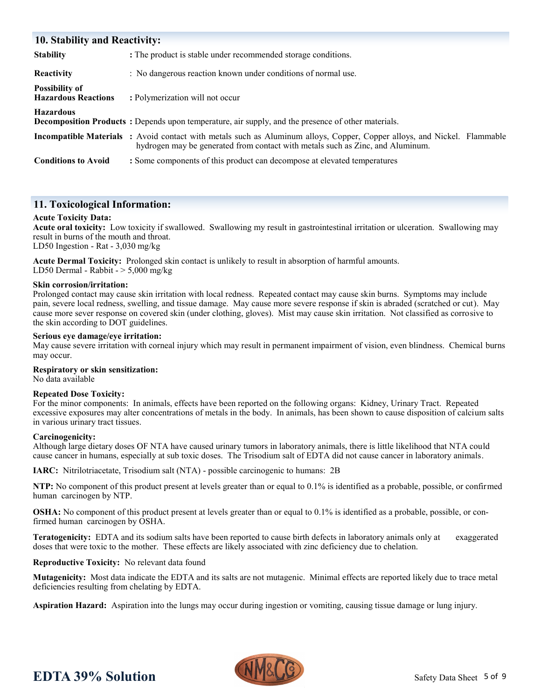| <b>10. Stability and Reactivity:</b>                |                                                                                                                                                                                                                   |  |  |  |
|-----------------------------------------------------|-------------------------------------------------------------------------------------------------------------------------------------------------------------------------------------------------------------------|--|--|--|
| <b>Stability</b>                                    | : The product is stable under recommended storage conditions.                                                                                                                                                     |  |  |  |
| <b>Reactivity</b>                                   | : No dangerous reaction known under conditions of normal use.                                                                                                                                                     |  |  |  |
| <b>Possibility of</b><br><b>Hazardous Reactions</b> | : Polymerization will not occur                                                                                                                                                                                   |  |  |  |
| <b>Hazardous</b>                                    | <b>Decomposition Products</b> : Depends upon temperature, air supply, and the presence of other materials.                                                                                                        |  |  |  |
|                                                     | <b>Incompatible Materials</b> : Avoid contact with metals such as Aluminum alloys, Copper, Copper alloys, and Nickel. Flammable<br>hydrogen may be generated from contact with metals such as Zinc, and Aluminum. |  |  |  |
| <b>Conditions to Avoid</b>                          | : Some components of this product can decompose at elevated temperatures                                                                                                                                          |  |  |  |

## **11. Toxicological Information:**

### **Acute Toxicity Data:**

**Acute oral toxicity:** Low toxicity if swallowed. Swallowing my result in gastrointestinal irritation or ulceration. Swallowing may result in burns of the mouth and throat. LD50 Ingestion - Rat - 3,030 mg/kg

**Acute Dermal Toxicity:** Prolonged skin contact is unlikely to result in absorption of harmful amounts. LD50 Dermal - Rabbit  $-$  > 5,000 mg/kg

#### **Skin corrosion/irritation:**

Prolonged contact may cause skin irritation with local redness. Repeated contact may cause skin burns. Symptoms may include pain, severe local redness, swelling, and tissue damage. May cause more severe response if skin is abraded (scratched or cut). May cause more sever response on covered skin (under clothing, gloves). Mist may cause skin irritation. Not classified as corrosive to the skin according to DOT guidelines.

#### **Serious eye damage/eye irritation:**

May cause severe irritation with corneal injury which may result in permanent impairment of vision, even blindness. Chemical burns may occur.

#### **Respiratory or skin sensitization:**

No data available

#### **Repeated Dose Toxicity:**

For the minor components: In animals, effects have been reported on the following organs: Kidney, Urinary Tract. Repeated excessive exposures may alter concentrations of metals in the body. In animals, has been shown to cause disposition of calcium salts in various urinary tract tissues.

#### **Carcinogenicity:**

Although large dietary doses OF NTA have caused urinary tumors in laboratory animals, there is little likelihood that NTA could cause cancer in humans, especially at sub toxic doses. The Trisodium salt of EDTA did not cause cancer in laboratory animals.

**IARC:** Nitrilotriacetate, Trisodium salt (NTA) - possible carcinogenic to humans: 2B

**NTP:** No component of this product present at levels greater than or equal to 0.1% is identified as a probable, possible, or confirmed human carcinogen by NTP.

**OSHA:** No component of this product present at levels greater than or equal to 0.1% is identified as a probable, possible, or confirmed human carcinogen by OSHA.

**Teratogenicity:** EDTA and its sodium salts have been reported to cause birth defects in laboratory animals only at exaggerated doses that were toxic to the mother. These effects are likely associated with zinc deficiency due to chelation.

**Reproductive Toxicity:** No relevant data found

**Mutagenicity:** Most data indicate the EDTA and its salts are not mutagenic. Minimal effects are reported likely due to trace metal deficiencies resulting from chelating by EDTA.

**Aspiration Hazard:** Aspiration into the lungs may occur during ingestion or vomiting, causing tissue damage or lung injury.



# **EDTA 39% Solution**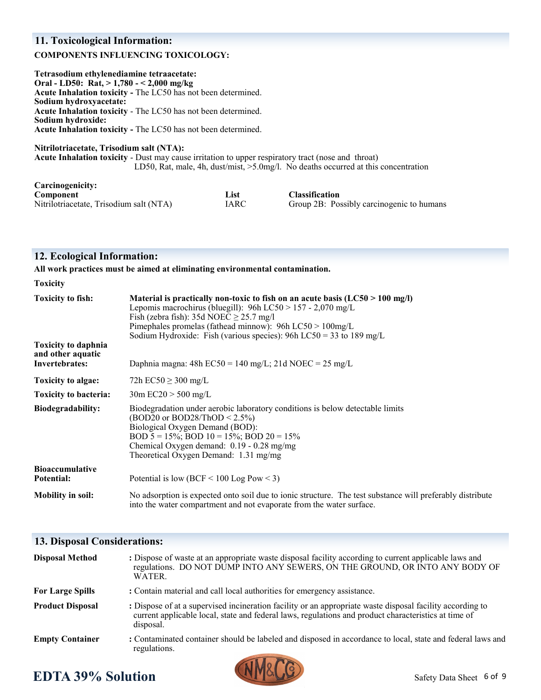## **11. Toxicological Information:**

### **COMPONENTS INFLUENCING TOXICOLOGY:**

**Tetrasodium ethylenediamine tetraacetate: Oral - LD50: Rat, > 1,780 - < 2,000 mg/kg Acute Inhalation toxicity -** The LC50 has not been determined. **Sodium hydroxyacetate: Acute Inhalation toxicity** - The LC50 has not been determined. **Sodium hydroxide: Acute Inhalation toxicity -** The LC50 has not been determined. **Nitrilotriacetate, Trisodium salt (NTA):** 

**Acute Inhalation toxicity** - Dust may cause irritation to upper respiratory tract (nose and throat) LD50, Rat, male, 4h, dust/mist, >5.0mg/l. No deaths occurred at this concentration

| Carcinogenicity:                        |      |                                           |
|-----------------------------------------|------|-------------------------------------------|
| Component                               | List | <b>Classification</b>                     |
| Nitrilotriacetate, Trisodium salt (NTA) | IARC | Group 2B: Possibly carcinogenic to humans |

### **12. Ecological Information:**

**All work practices must be aimed at eliminating environmental contamination.** 

| <b>Toxicity</b>                                                                               |                                                                                                                                                                                                                                                                                                                                                                                                   |
|-----------------------------------------------------------------------------------------------|---------------------------------------------------------------------------------------------------------------------------------------------------------------------------------------------------------------------------------------------------------------------------------------------------------------------------------------------------------------------------------------------------|
| <b>Toxicity to fish:</b><br><b>Toxicity to daphnia</b><br>and other aquatic<br>Invertebrates: | Material is practically non-toxic to fish on an acute basis $(LC50 > 100$ mg/l)<br>Lepomis macrochirus (bluegill): $96h$ LC50 > 157 - 2,070 mg/L<br>Fish (zebra fish): 35d NOEC $\geq$ 25.7 mg/l<br>Pimephales promelas (fathead minnow): $96h$ LC50 > $100mg/L$<br>Sodium Hydroxide: Fish (various species): 96h LC50 = 33 to 189 mg/L<br>Daphnia magna: 48h EC50 = 140 mg/L; 21d NOEC = 25 mg/L |
|                                                                                               |                                                                                                                                                                                                                                                                                                                                                                                                   |
| Toxicity to algae:                                                                            | 72h $EC50 \ge 300$ mg/L                                                                                                                                                                                                                                                                                                                                                                           |
| <b>Toxicity to bacteria:</b>                                                                  | $30m$ EC20 $> 500$ mg/L                                                                                                                                                                                                                                                                                                                                                                           |
| Biodegradability:                                                                             | Biodegradation under aerobic laboratory conditions is below detectable limits<br>$(BOD20 \text{ or } BOD28/ThOD < 2.5\%)$<br>Biological Oxygen Demand (BOD):<br>BOD $5 = 15\%$ ; BOD $10 = 15\%$ ; BOD $20 = 15\%$<br>Chemical Oxygen demand: 0.19 - 0.28 mg/mg<br>Theoretical Oxygen Demand: 1.31 mg/mg                                                                                          |
| <b>Bioaccumulative</b><br>Potential:                                                          | Potential is low (BCF $\leq 100$ Log Pow $\leq 3$ )                                                                                                                                                                                                                                                                                                                                               |
| <b>Mobility in soil:</b>                                                                      | No adsorption is expected onto soil due to ionic structure. The test substance will preferably distribute<br>into the water compartment and not evaporate from the water surface.                                                                                                                                                                                                                 |

## **13. Disposal Considerations:**

| <b>Disposal Method</b>  | : Dispose of waste at an appropriate waste disposal facility according to current applicable laws and<br>regulations. DO NOT DUMP INTO ANY SEWERS, ON THE GROUND, OR INTO ANY BODY OF<br>WATER.                                |
|-------------------------|--------------------------------------------------------------------------------------------------------------------------------------------------------------------------------------------------------------------------------|
| <b>For Large Spills</b> | : Contain material and call local authorities for emergency assistance.                                                                                                                                                        |
| <b>Product Disposal</b> | : Dispose of at a supervised incineration facility or an appropriate waste disposal facility according to<br>current applicable local, state and federal laws, regulations and product characteristics at time of<br>disposal. |
| <b>Empty Container</b>  | : Contaminated container should be labeled and disposed in accordance to local, state and federal laws and<br>regulations.                                                                                                     |

# **EDTA 39% Solution**

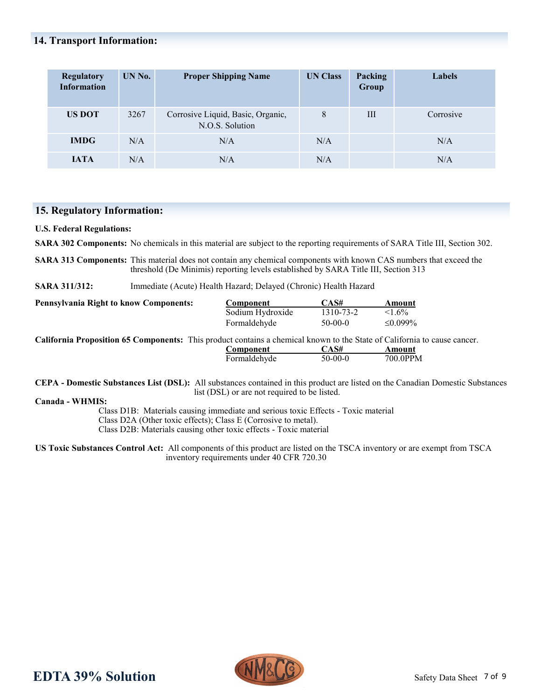## **14. Transport Information:**

| <b>Regulatory</b><br><b>Information</b> | UN No. | <b>Proper Shipping Name</b>                          | <b>UN Class</b> | Packing<br>Group | Labels    |
|-----------------------------------------|--------|------------------------------------------------------|-----------------|------------------|-----------|
| <b>US DOT</b>                           | 3267   | Corrosive Liquid, Basic, Organic,<br>N.O.S. Solution | 8               | Ш                | Corrosive |
| <b>IMDG</b>                             | N/A    | N/A                                                  | N/A             |                  | N/A       |
| <b>IATA</b>                             | N/A    | N/A                                                  | N/A             |                  | N/A       |

## **15. Regulatory Information:**

**U.S. Federal Regulations:**

**SARA 302 Components:** No chemicals in this material are subject to the reporting requirements of SARA Title III, Section 302.

**SARA 313 Components:** This material does not contain any chemical components with known CAS numbers that exceed the threshold (De Minimis) reporting levels established by SARA Title III, Section 313

**SARA 311/312:** Immediate (Acute) Health Hazard; Delayed (Chronic) Health Hazard

| <b>Pennsylvania Right to know Components:</b> | Component        | CAS#      | Amount  |  |
|-----------------------------------------------|------------------|-----------|---------|--|
|                                               | Sodium Hydroxide | 1310-73-2 | $1.6\%$ |  |
|                                               | Formaldehyde     | $50-00-0$ | ≤0.099% |  |
| $\sim$ 1.0<br>$-1$ .                          |                  |           |         |  |

**California Proposition 65 Components:** This product contains a chemical known to the State of California to cause cancer. **Component CAS# Amount** Formaldehyde 50-00-0 700.0PPM

**CEPA - Domestic Substances List (DSL):** All substances contained in this product are listed on the Canadian Domestic Substances list (DSL) or are not required to be listed.

**Canada - WHMIS:** 

Class D1B: Materials causing immediate and serious toxic Effects - Toxic material Class D2A (Other toxic effects); Class E (Corrosive to metal). Class D2B: Materials causing other toxic effects - Toxic material

**US Toxic Substances Control Act:** All components of this product are listed on the TSCA inventory or are exempt from TSCA inventory requirements under 40 CFR 720.30

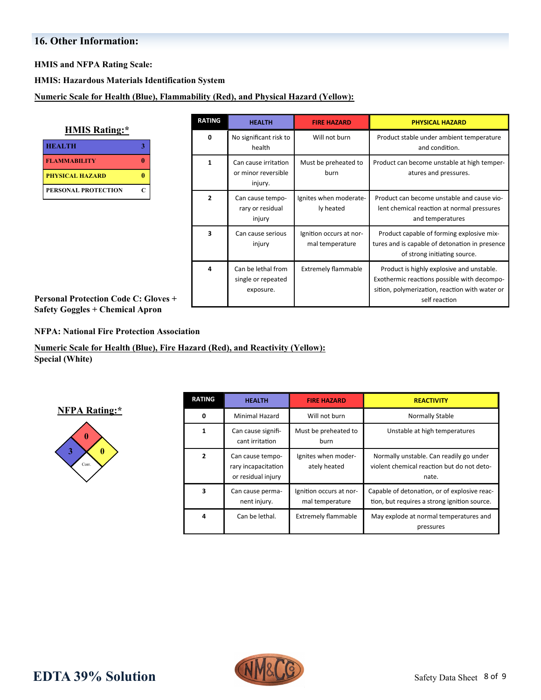# **16. Other Information:**

**HMIS and NFPA Rating Scale:**

**HMIS: Hazardous Materials Identification System**

**Numeric Scale for Health (Blue), Flammability (Red), and Physical Hazard (Yellow):**

| <b>HMIS Rating:*</b>   |   |  |
|------------------------|---|--|
| <b>HEALTH</b>          |   |  |
| <b>FLAMMABILITY</b>    |   |  |
| <b>PHYSICAL HAZARD</b> |   |  |
| PERSONAL PROTECTION    | C |  |

| <b>RATING</b>  | <b>HEALTH</b><br><b>FIRE HAZARD</b>                    |                                            | <b>PHYSICAL HAZARD</b>                                                                                                                                      |  |
|----------------|--------------------------------------------------------|--------------------------------------------|-------------------------------------------------------------------------------------------------------------------------------------------------------------|--|
| 0              | No significant risk to<br>health                       | Will not burn                              | Product stable under ambient temperature<br>and condition.                                                                                                  |  |
| $\mathbf{1}$   | Can cause irritation<br>or minor reversible<br>injury. | Must be preheated to<br>burn               | Product can become unstable at high temper-<br>atures and pressures.                                                                                        |  |
| $\overline{2}$ | Can cause tempo-<br>rary or residual<br>injury         | Ignites when moderate-<br>ly heated        | Product can become unstable and cause vio-<br>lent chemical reaction at normal pressures<br>and temperatures                                                |  |
| 3              | Can cause serious<br>injury                            | Ignition occurs at nor-<br>mal temperature | Product capable of forming explosive mix-<br>tures and is capable of detonation in presence<br>of strong initiating source.                                 |  |
| 4              | Can be lethal from<br>single or repeated<br>exposure.  | <b>Extremely flammable</b>                 | Product is highly explosive and unstable.<br>Exothermic reactions possible with decompo-<br>sition, polymerization, reaction with water or<br>self reaction |  |

**Personal Protection Code C: Gloves + Safety Goggles + Chemical Apron** 

**NFPA: National Fire Protection Association**

**Numeric Scale for Health (Blue), Fire Hazard (Red), and Reactivity (Yellow): Special (White)**

**NFPA Rating:\***



| <b>RATING</b> | <b>HEALTH</b>                                                                  | <b>FIRE HAZARD</b>                  | <b>REACTIVITY</b>                                                                              |
|---------------|--------------------------------------------------------------------------------|-------------------------------------|------------------------------------------------------------------------------------------------|
| 0             | <b>Minimal Hazard</b>                                                          | Will not burn<br>Normally Stable    |                                                                                                |
| 1             | Can cause signifi-<br>cant irritation                                          | Must be preheated to<br>burn        | Unstable at high temperatures                                                                  |
| 2             | Can cause tempo-<br>rary incapacitation<br>or residual injury                  | Ignites when moder-<br>ately heated | Normally unstable. Can readily go under<br>violent chemical reaction but do not deto-<br>nate. |
| 3             | Ignition occurs at nor-<br>Can cause perma-<br>mal temperature<br>nent injury. |                                     | Capable of detonation, or of explosive reac-<br>tion, but requires a strong ignition source.   |
| 4             | Can be lethal.<br><b>Extremely flammable</b>                                   |                                     | May explode at normal temperatures and<br>pressures                                            |